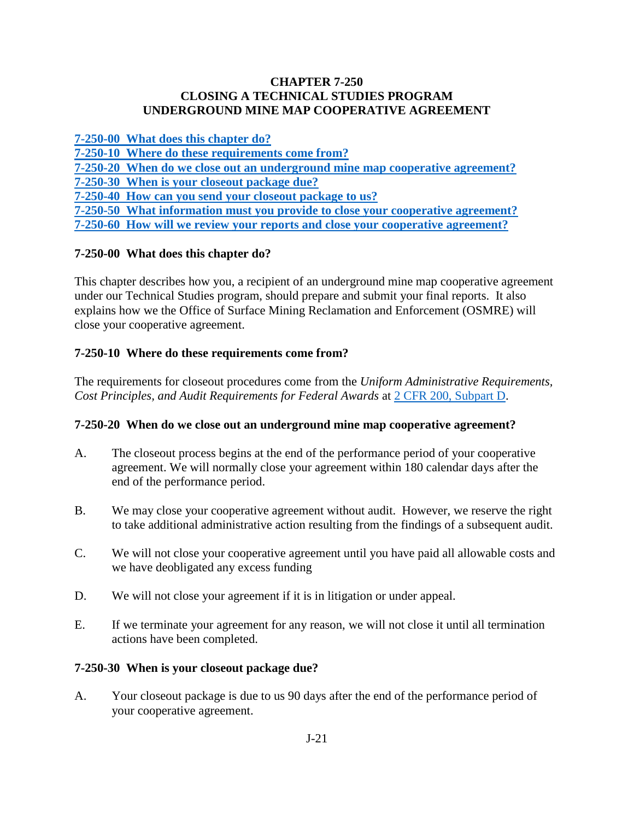### **CHAPTER 7-250 CLOSING A TECHNICAL STUDIES PROGRAM UNDERGROUND MINE MAP COOPERATIVE AGREEMENT**

**[7-250-00 What does this chapter do?](#page-0-0)**

**[7-250-10 Where do these requirements come from?](#page-0-1)**

**[7-250-20 When do we close out an underground mine map cooperative agreement?](#page-0-2)**

**[7-250-30 When is your closeout package due?](#page-0-3)**

**[7-250-40 How can you send your closeout package to us?](#page-1-0)**

**[7-250-50 What information must you provide to close your cooperative agreement?](#page-1-1) [7-250-60 How will we review your reports and close your cooperative agreement?](#page-1-2)** 

# <span id="page-0-0"></span>**7-250-00 What does this chapter do?**

This chapter describes how you, a recipient of an underground mine map cooperative agreement under our Technical Studies program, should prepare and submit your final reports. It also explains how we the Office of Surface Mining Reclamation and Enforcement (OSMRE) will close your cooperative agreement.

# <span id="page-0-1"></span>**7-250-10 Where do these requirements come from?**

The requirements for closeout procedures come from the *Uniform Administrative Requirements, Cost Principles, and Audit Requirements for Federal Awards* at [2 CFR 200, Subpart D.](http://www.ecfr.gov/cgi-bin/text-idx?SID=704683b1fd8e579c28d796d8b73e0e79&node=pt2.1.200&rgn=div5)

## <span id="page-0-2"></span>**7-250-20 When do we close out an underground mine map cooperative agreement?**

- A. The closeout process begins at the end of the performance period of your cooperative agreement. We will normally close your agreement within 180 calendar days after the end of the performance period.
- B. We may close your cooperative agreement without audit. However, we reserve the right to take additional administrative action resulting from the findings of a subsequent audit.
- C. We will not close your cooperative agreement until you have paid all allowable costs and we have deobligated any excess funding
- D. We will not close your agreement if it is in litigation or under appeal.
- E. If we terminate your agreement for any reason, we will not close it until all termination actions have been completed.

## <span id="page-0-3"></span>**7-250-30 When is your closeout package due?**

A. Your closeout package is due to us 90 days after the end of the performance period of your cooperative agreement.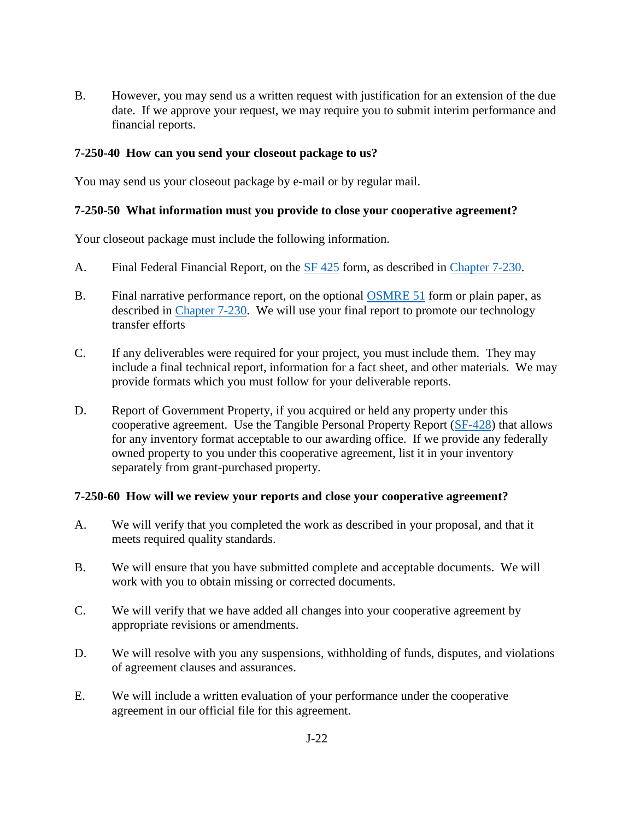B. However, you may send us a written request with justification for an extension of the due date. If we approve your request, we may require you to submit interim performance and financial reports.

### <span id="page-1-0"></span>**7-250-40 How can you send your closeout package to us?**

You may send us your closeout package by e-mail or by regular mail.

#### <span id="page-1-1"></span>**7-250-50 What information must you provide to close your cooperative agreement?**

Your closeout package must include the following information.

- A. Final Federal Financial Report, on the [SF 425](http://www.whitehouse.gov/sites/default/files/omb/grants/approved_forms/SF-425.pdf) form, as described in [Chapter 7-230.](https://www.osmre.gov/lrg/fam/7-230.pdf)
- B. Final narrative performance report, on the optional [OSMRE 51](http://www.osmre.gov/resources/forms/OSM51.pdf) form or plain paper, as described in [Chapter 7-230.](https://www.osmre.gov/lrg/fam/7-230.pdf) We will use your final report to promote our technology transfer efforts
- C. If any deliverables were required for your project, you must include them. They may include a final technical report, information for a fact sheet, and other materials. We may provide formats which you must follow for your deliverable reports.
- D. Report of Government Property, if you acquired or held any property under this cooperative agreement. Use the Tangible Personal Property Report [\(SF-428\)](https://www.whitehouse.gov/sites/default/files/omb/grants/approved_forms/sf-428.pdf) that allows for any inventory format acceptable to our awarding office. If we provide any federally owned property to you under this cooperative agreement, list it in your inventory separately from grant-purchased property.

#### <span id="page-1-2"></span>**7-250-60 How will we review your reports and close your cooperative agreement?**

- A. We will verify that you completed the work as described in your proposal, and that it meets required quality standards.
- B. We will ensure that you have submitted complete and acceptable documents. We will work with you to obtain missing or corrected documents.
- C. We will verify that we have added all changes into your cooperative agreement by appropriate revisions or amendments.
- D. We will resolve with you any suspensions, withholding of funds, disputes, and violations of agreement clauses and assurances.
- E. We will include a written evaluation of your performance under the cooperative agreement in our official file for this agreement.